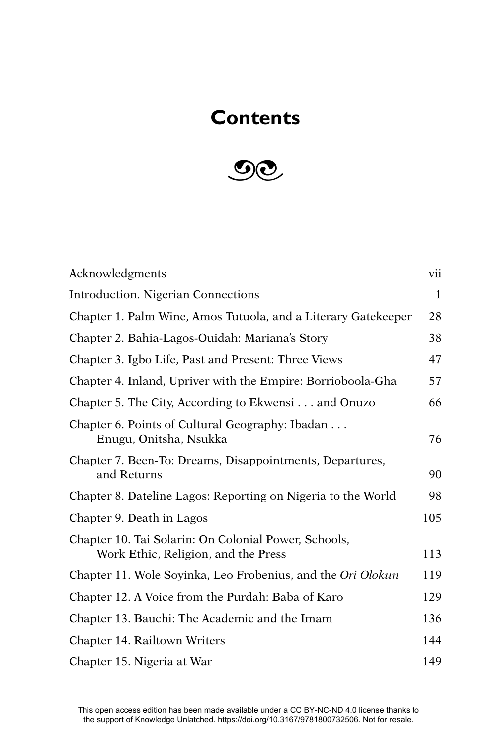## **Contents**



| Acknowledgments                                                                             | vii          |
|---------------------------------------------------------------------------------------------|--------------|
| <b>Introduction. Nigerian Connections</b>                                                   | $\mathbf{1}$ |
| Chapter 1. Palm Wine, Amos Tutuola, and a Literary Gatekeeper                               | 28           |
| Chapter 2. Bahia-Lagos-Ouidah: Mariana's Story                                              | 38           |
| Chapter 3. Igbo Life, Past and Present: Three Views                                         | 47           |
| Chapter 4. Inland, Upriver with the Empire: Borrioboola-Gha                                 | 57           |
| Chapter 5. The City, According to Ekwensi and Onuzo                                         | 66           |
| Chapter 6. Points of Cultural Geography: Ibadan<br>Enugu, Onitsha, Nsukka                   | 76           |
| Chapter 7. Been-To: Dreams, Disappointments, Departures,<br>and Returns                     | 90           |
| Chapter 8. Dateline Lagos: Reporting on Nigeria to the World                                | 98           |
| Chapter 9. Death in Lagos                                                                   | 105          |
| Chapter 10. Tai Solarin: On Colonial Power, Schools,<br>Work Ethic, Religion, and the Press | 113          |
| Chapter 11. Wole Soyinka, Leo Frobenius, and the Ori Olokun                                 | 119          |
| Chapter 12. A Voice from the Purdah: Baba of Karo                                           | 129          |
| Chapter 13. Bauchi: The Academic and the Imam                                               | 136          |
| Chapter 14. Railtown Writers                                                                | 144          |
| Chapter 15. Nigeria at War                                                                  | 149          |